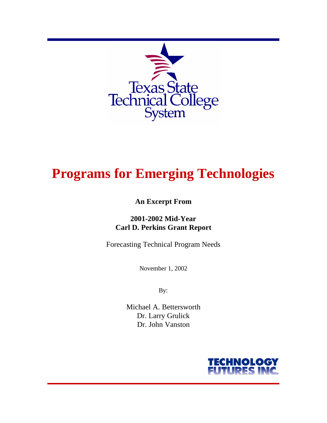

# **Programs for Emerging Technologies**

# **An Excerpt From**

# **2001-2002 Mid-Year Carl D. Perkins Grant Report**

Forecasting Technical Program Needs

November 1, 2002

By:

Michael A. Bettersworth Dr. Larry Grulick Dr. John Vanston

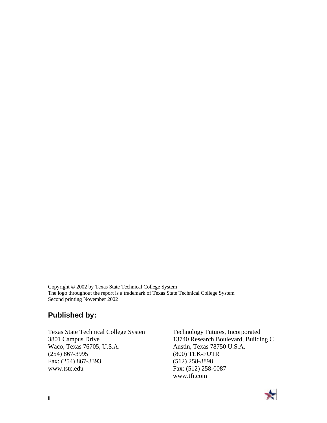Copyright © 2002 by Texas State Technical College System The logo throughout the report is a trademark of Texas State Technical College System Second printing November 2002

# **Published by:**

Texas State Technical College System 3801 Campus Drive Waco, Texas 76705, U.S.A. (254) 867-3995 Fax: (254) 867-3393 www.tstc.edu

Technology Futures, Incorporated 13740 Research Boulevard, Building C Austin, Texas 78750 U.S.A. (800) TEK-FUTR (512) 258-8898 Fax: (512) 258-0087 www.tfi.com

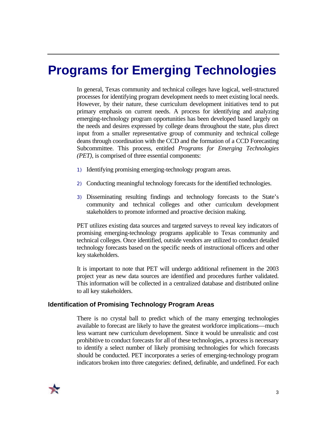# **Programs for Emerging Technologies**

In general, Texas community and technical colleges have logical, well-structured processes for identifying program development needs to meet existing local needs. However, by their nature, these curriculum development initiatives tend to put primary emphasis on current needs. A process for identifying and analyzing emerging-technology program opportunities has been developed based largely on the needs and desires expressed by college deans throughout the state, plus direct input from a smaller representative group of community and technical college deans through coordination with the CCD and the formation of a CCD Forecasting Subcommittee. This process, entitled *Programs for Emerging Technologies (PET),* is comprised of three essential components:

- 1) Identifying promising emerging-technology program areas.
- 2) Conducting meaningful technology forecasts for the identified technologies.
- 3) Disseminating resulting findings and technology forecasts to the State's community and technical colleges and other curriculum development stakeholders to promote informed and proactive decision making.

PET utilizes existing data sources and targeted surveys to reveal key indicators of promising emerging-technology programs applicable to Texas community and technical colleges. Once identified, outside vendors are utilized to conduct detailed technology forecasts based on the specific needs of instructional officers and other key stakeholders.

It is important to note that PET will undergo additional refinement in the 2003 project year as new data sources are identified and procedures further validated. This information will be collected in a centralized database and distributed online to all key stakeholders.

#### **Identification of Promising Technology Program Areas**

There is no crystal ball to predict which of the many emerging technologies available to forecast are likely to have the greatest workforce implications—much less warrant new curriculum development. Since it would be unrealistic and cost prohibitive to conduct forecasts for all of these technologies, a process is necessary to identify a select number of likely promising technologies for which forecasts should be conducted. PET incorporates a series of emerging-technology program indicators broken into three categories: defined, definable, and undefined. For each

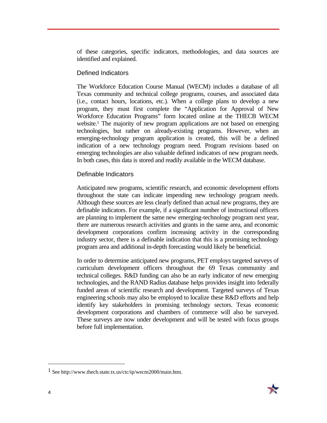of these categories, specific indicators, methodologies, and data sources are identified and explained.

### Defined Indicators

The Workforce Education Course Manual (WECM) includes a database of all Texas community and technical college programs, courses, and associated data (i.e., contact hours, locations, etc.). When a college plans to develop a new program, they must first complete the "Application for Approval of New Workforce Education Programs" form located online at the THECB WECM website.<sup>1</sup> The majority of new program applications are not based on emerging technologies, but rather on already-existing programs. However, when an emerging-technology program application is created, this will be a defined indication of a new technology program need. Program revisions based on emerging technologies are also valuable defined indicators of new program needs. In both cases, this data is stored and readily available in the WECM database.

# Definable Indicators

Anticipated new programs, scientific research, and economic development efforts throughout the state can indicate impending new technology program needs. Although these sources are less clearly defined than actual new programs, they are definable indicators. For example, if a significant number of instructional officers are planning to implement the same new emerging-technology program next year, there are numerous research activities and grants in the same area, and economic development corporations confirm increasing activity in the corresponding industry sector, there is a definable indication that this is a promising technology program area and additional in-depth forecasting would likely be beneficial.

In order to determine anticipated new programs, PET employs targeted surveys of curriculum development officers throughout the 69 Texas community and technical colleges. R&D funding can also be an early indicator of new emerging technologies, and the RAND Radius database helps provides insight into federally funded areas of scientific research and development. Targeted surveys of Texas engineering schools may also be employed to localize these R&D efforts and help identify key stakeholders in promising technology sectors. Texas economic development corporations and chambers of commerce will also be surveyed. These surveys are now under development and will be tested with focus groups before full implementation.



 $\overline{a}$ 

<sup>1</sup> See http://www.thecb.state.tx.us/ctc/ip/wecm2000/main.htm.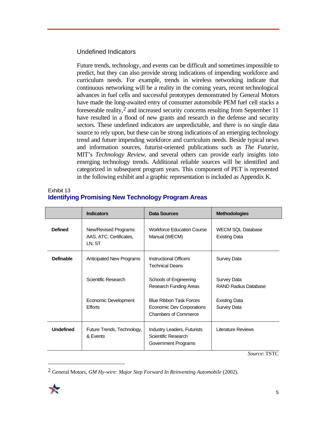# Undefined Indicators

Future trends, technology, and events can be difficult and sometimes impossible to predict, but they can also provide strong indications of impending workforce and curriculum needs. For example, trends in wireless networking indicate that continuous networking will be a reality in the coming years, recent technological advances in fuel cells and successful prototypes demonstrated by General Motors have made the long-awaited entry of consumer automobile PEM fuel cell stacks a foreseeable reality,2 and increased security concerns resulting from September 11 have resulted in a flood of new grants and research in the defense and security sectors. These undefined indicators are unpredictable, and there is no single data source to rely upon, but these can be strong indications of an emerging technology trend and future impending workforce and curriculum needs. Beside typical news and information sources, futurist-oriented publications such as *The Futurist*, MIT's *Technology Review*, and several others can provide early insights into emerging technology trends. Additional reliable sources will be identified and categorized in subsequent program years. This component of PET is represented in the following exhibit and a graphic representation is included as Appendix K.

| Exhibit 13 |                                                           |  |  |
|------------|-----------------------------------------------------------|--|--|
|            | <b>Identifying Promising New Technology Program Areas</b> |  |  |

|                  | <b>Indicators</b>                                          | Data Sources                                                                               | <b>Methodologies</b>                             |
|------------------|------------------------------------------------------------|--------------------------------------------------------------------------------------------|--------------------------------------------------|
| <b>Defined</b>   | New/Revised Programs:<br>AAS, ATC, Certificates,<br>LN, ST | <b>Workforce Education Course</b><br>Manual (WECM)                                         | <b>WECM SQL Database</b><br><b>Existing Data</b> |
| <b>Definable</b> | Anticipated New Programs                                   | Instructional Officers<br><b>Technical Deans</b>                                           | Survey Data                                      |
|                  | Scientific Research                                        | Schools of Engineering<br>Research Funding Areas                                           | Survey Data<br><b>RAND Radius Database</b>       |
|                  | Economic Development<br><b>Efforts</b>                     | <b>Blue Ribbon Task Forces</b><br>Economic Dev Corporations<br><b>Chambers of Commerce</b> | <b>Existing Data</b><br>Survey Data              |
| <b>Undefined</b> | Future Trends, Technology,<br>& Events                     | Industry Leaders, Futurists<br>Scientific Research<br>Government Programs                  | Literature Reviews<br>$-2$                       |

*Source*: TSTC

<sup>2</sup> General Motors, *GM Hy-wire: Major Step Forward In Reinventing Automobile* (2002).



 $\overline{a}$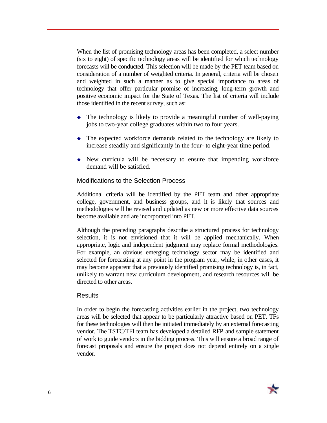When the list of promising technology areas has been completed, a select number (six to eight) of specific technology areas will be identified for which technology forecasts will be conducted. This selection will be made by the PET team based on consideration of a number of weighted criteria. In general, criteria will be chosen and weighted in such a manner as to give special importance to areas of technology that offer particular promise of increasing, long-term growth and positive economic impact for the State of Texas. The list of criteria will include those identified in the recent survey, such as:

- $\bullet$  The technology is likely to provide a meaningful number of well-paying jobs to two-year college graduates within two to four years.
- $\bullet$  The expected workforce demands related to the technology are likely to increase steadily and significantly in the four- to eight-year time period.
- $\rightarrow$  New curricula will be necessary to ensure that impending workforce demand will be satisfied.

# Modifications to the Selection Process

Additional criteria will be identified by the PET team and other appropriate college, government, and business groups, and it is likely that sources and methodologies will be revised and updated as new or more effective data sources become available and are incorporated into PET.

Although the preceding paragraphs describe a structured process for technology selection, it is not envisioned that it will be applied mechanically. When appropriate, logic and independent judgment may replace formal methodologies. For example, an obvious emerging technology sector may be identified and selected for forecasting at any point in the program year, while, in other cases, it may become apparent that a previously identified promising technology is, in fact, unlikely to warrant new curriculum development, and research resources will be directed to other areas.

#### **Results**

In order to begin the forecasting activities earlier in the project, two technology areas will be selected that appear to be particularly attractive based on PET. TFs for these technologies will then be initiated immediately by an external forecasting vendor. The TSTC/TFI team has developed a detailed RFP and sample statement of work to guide vendors in the bidding process. This will ensure a broad range of forecast proposals and ensure the project does not depend entirely on a single vendor.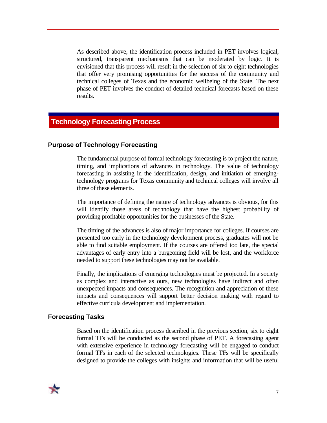As described above, the identification process included in PET involves logical, structured, transparent mechanisms that can be moderated by logic. It is envisioned that this process will result in the selection of six to eight technologies that offer very promising opportunities for the success of the community and technical colleges of Texas and the economic wellbeing of the State. The next phase of PET involves the conduct of detailed technical forecasts based on these results.

# **Technology Forecasting Process**

#### **Purpose of Technology Forecasting**

The fundamental purpose of formal technology forecasting is to project the nature, timing, and implications of advances in technology. The value of technology forecasting in assisting in the identification, design, and initiation of emergingtechnology programs for Texas community and technical colleges will involve all three of these elements.

The importance of defining the nature of technology advances is obvious, for this will identify those areas of technology that have the highest probability of providing profitable opportunities for the businesses of the State.

The timing of the advances is also of major importance for colleges. If courses are presented too early in the technology development process, graduates will not be able to find suitable employment. If the courses are offered too late, the special advantages of early entry into a burgeoning field will be lost, and the workforce needed to support these technologies may not be available.

Finally, the implications of emerging technologies must be projected. In a society as complex and interactive as ours, new technologies have indirect and often unexpected impacts and consequences. The recognition and appreciation of these impacts and consequences will support better decision making with regard to effective curricula development and implementation.

#### **Forecasting Tasks**

Based on the identification process described in the previous section, six to eight formal TFs will be conducted as the second phase of PET. A forecasting agent with extensive experience in technology forecasting will be engaged to conduct formal TFs in each of the selected technologies. These TFs will be specifically designed to provide the colleges with insights and information that will be useful

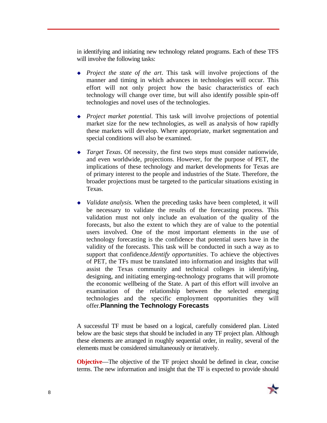in identifying and initiating new technology related programs. Each of these TFS will involve the following tasks:

- *Project the state of the art*. This task will involve projections of the manner and timing in which advances in technologies will occur. This effort will not only project how the basic characteristics of each technology will change over time, but will also identify possible spin-off technologies and novel uses of the technologies.
- <sup>u</sup> *Project market potential*. This task will involve projections of potential market size for the new technologies, as well as analysis of how rapidly these markets will develop. Where appropriate, market segmentation and special conditions will also be examined.
- <sup>u</sup> *Target Texas*. Of necessity, the first two steps must consider nationwide, and even worldwide, projections. However, for the purpose of PET, the implications of these technology and market developments for Texas are of primary interest to the people and industries of the State. Therefore, the broader projections must be targeted to the particular situations existing in Texas.
- *Validate analysis*. When the preceding tasks have been completed, it will be necessary to validate the results of the forecasting process. This validation must not only include an evaluation of the quality of the forecasts, but also the extent to which they are of value to the potential users involved. One of the most important elements in the use of technology forecasting is the confidence that potential users have in the validity of the forecasts. This task will be conducted in such a way as to support that confidence.*Identify opportunities*. To achieve the objectives of PET, the TFs must be translated into information and insights that will assist the Texas community and technical colleges in identifying, designing, and initiating emerging-technology programs that will promote the economic wellbeing of the State. A part of this effort will involve an examination of the relationship between the selected emerging technologies and the specific employment opportunities they will offer.**Planning the Technology Forecasts**

A successful TF must be based on a logical, carefully considered plan. Listed below are the basic steps that should be included in any TF project plan. Although these elements are arranged in roughly sequential order, in reality, several of the elements must be considered simultaneously or iteratively.

**Objective**—The objective of the TF project should be defined in clear, concise terms. The new information and insight that the TF is expected to provide should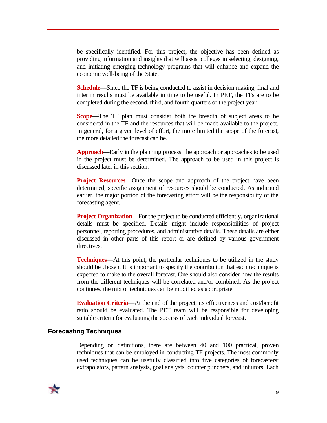be specifically identified. For this project, the objective has been defined as providing information and insights that will assist colleges in selecting, designing, and initiating emerging-technology programs that will enhance and expand the economic well-being of the State.

**Schedule**—Since the TF is being conducted to assist in decision making, final and interim results must be available in time to be useful. In PET, the TFs are to be completed during the second, third, and fourth quarters of the project year.

**Scope**—The TF plan must consider both the breadth of subject areas to be considered in the TF and the resources that will be made available to the project. In general, for a given level of effort, the more limited the scope of the forecast, the more detailed the forecast can be.

**Approach**—Early in the planning process, the approach or approaches to be used in the project must be determined. The approach to be used in this project is discussed later in this section.

**Project Resources**—Once the scope and approach of the project have been determined, specific assignment of resources should be conducted. As indicated earlier, the major portion of the forecasting effort will be the responsibility of the forecasting agent.

**Project Organization—For the project to be conducted efficiently, organizational** details must be specified. Details might include responsibilities of project personnel, reporting procedures, and administrative details. These details are either discussed in other parts of this report or are defined by various government directives.

**Techniques**—At this point, the particular techniques to be utilized in the study should be chosen. It is important to specify the contribution that each technique is expected to make to the overall forecast. One should also consider how the results from the different techniques will be correlated and/or combined. As the project continues, the mix of techniques can be modified as appropriate.

**Evaluation Criteria**—At the end of the project, its effectiveness and cost/benefit ratio should be evaluated. The PET team will be responsible for developing suitable criteria for evaluating the success of each individual forecast.

#### **Forecasting Techniques**

Depending on definitions, there are between 40 and 100 practical, proven techniques that can be employed in conducting TF projects. The most commonly used techniques can be usefully classified into five categories of forecasters: extrapolators, pattern analysts, goal analysts, counter punchers, and intuitors. Each

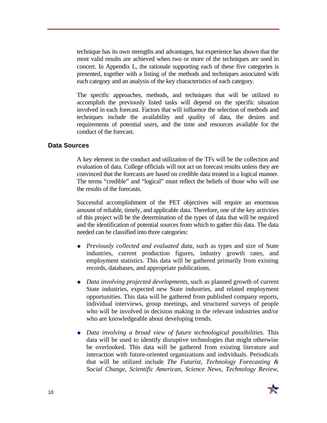technique has its own strengths and advantages, but experience has shown that the most valid results are achieved when two or more of the techniques are used in concert. In Appendix L, the rationale supporting each of these five categories is presented, together with a listing of the methods and techniques associated with each category and an analysis of the key characteristics of each category.

The specific approaches, methods, and techniques that will be utilized to accomplish the previously listed tasks will depend on the specific situation involved in each forecast. Factors that will influence the selection of methods and techniques include the availability and quality of data, the desires and requirements of potential users, and the time and resources available for the conduct of the forecast.

#### **Data Sources**

A key element in the conduct and utilization of the TFs will be the collection and evaluation of data. College officials will not act on forecast results unless they are convinced that the forecasts are based on credible data treated in a logical manner. The terms "credible" and "logical" must reflect the beliefs of those who will use the results of the forecasts.

Successful accomplishment of the PET objectives will require an enormous amount of reliable, timely, and applicable data. Therefore, one of the key activities of this project will be the determination of the types of data that will be required and the identification of potential sources from which to gather this data. The data needed can be classified into three categories:

- <sup>u</sup> *Previously collected and evaluated data*, such as types and size of State industries, current production figures, industry growth rates, and employment statistics. This data will be gathered primarily from existing records, databases, and appropriate publications.
- <sup>u</sup> *Data involving projected developments*, such as planned growth of current State industries, expected new State industries, and related employment opportunities. This data will be gathered from published company reports, individual interviews, group meetings, and structured surveys of people who will be involved in decision making in the relevant industries and/or who are knowledgeable about developing trends.
- <sup>u</sup> *Data involving a broad view of future technological possibilities*. This data will be used to identify disruptive technologies that might otherwise be overlooked. This data will be gathered from existing literature and interaction with future-oriented organizations and individuals. Periodicals that will be utilized include *The Futurist*, *Technology Forecasting & Social Change*, *Scientific American*, *Science News*, *Technology Review*,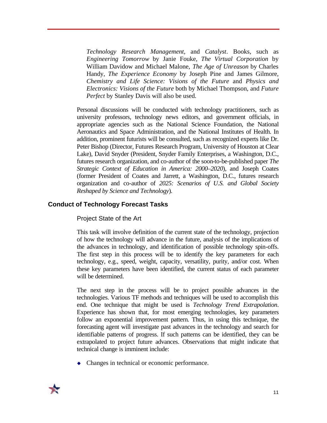*Technology Research Management*, and *Catalyst*. Books, such as *Engineering Tomorrow* by Janie Fouke, *The Virtual Corporation* by William Davidow and Michael Malone, *The Age of Unreason* by Charles Handy, *The Experience Economy* by Joseph Pine and James Gilmore, *Chemistry and Life Science: Visions of the Future* and *Physics and Electronics: Visions of the Future* both by Michael Thompson, and *Future Perfect* by Stanley Davis will also be used.

Personal discussions will be conducted with technology practitioners, such as university professors, technology news editors, and government officials, in appropriate agencies such as the National Science Foundation, the National Aeronautics and Space Administration, and the National Institutes of Health. In addition, prominent futurists will be consulted, such as recognized experts like Dr. Peter Bishop (Director, Futures Research Program, University of Houston at Clear Lake), David Snyder (President, Snyder Family Enterprises, a Washington, D.C., futures research organization, and co-author of the soon-to-be-published paper *The Strategic Context of Education in America: 2000–2020*), and Joseph Coates (former President of Coates and Jarrett, a Washington, D.C., futures research organization and co-author of *2025: Scenarios of U.S. and Global Society Reshaped by Science and Technology*).

### **Conduct of Technology Forecast Tasks**

Project State of the Art

This task will involve definition of the current state of the technology, projection of how the technology will advance in the future, analysis of the implications of the advances in technology, and identification of possible technology spin-offs. The first step in this process will be to identify the key parameters for each technology, e.g., speed, weight, capacity, versatility, purity, and/or cost. When these key parameters have been identified, the current status of each parameter will be determined.

The next step in the process will be to project possible advances in the technologies. Various TF methods and techniques will be used to accomplish this end. One technique that might be used is *Technology Trend Extrapolation*. Experience has shown that, for most emerging technologies, key parameters follow an exponential improvement pattern. Thus, in using this technique, the forecasting agent will investigate past advances in the technology and search for identifiable patterns of progress. If such patterns can be identified, they can be extrapolated to project future advances. Observations that might indicate that technical change is imminent include:

 $\bullet$  Changes in technical or economic performance.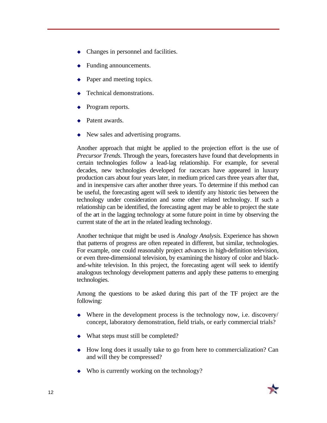- $\bullet$  Changes in personnel and facilities.
- Funding announcements.
- Paper and meeting topics.
- Technical demonstrations.
- Program reports.
- Patent awards.
- $\blacklozenge$  New sales and advertising programs.

Another approach that might be applied to the projection effort is the use of *Precursor Trends*. Through the years, forecasters have found that developments in certain technologies follow a lead-lag relationship. For example, for several decades, new technologies developed for racecars have appeared in luxury production cars about four years later, in medium priced cars three years after that, and in inexpensive cars after another three years. To determine if this method can be useful, the forecasting agent will seek to identify any historic ties between the technology under consideration and some other related technology. If such a relationship can be identified, the forecasting agent may be able to project the state of the art in the lagging technology at some future point in time by observing the current state of the art in the related leading technology.

Another technique that might be used is *Analogy Analysis*. Experience has shown that patterns of progress are often repeated in different, but similar, technologies. For example, one could reasonably project advances in high-definition television, or even three-dimensional television, by examining the history of color and blackand-white television. In this project, the forecasting agent will seek to identify analogous technology development patterns and apply these patterns to emerging technologies.

Among the questions to be asked during this part of the TF project are the following:

- $\blacklozenge$  Where in the development process is the technology now, i.e. discovery/ concept, laboratory demonstration, field trials, or early commercial trials?
- $\bullet$  What steps must still be completed?
- $\bullet$  How long does it usually take to go from here to commercialization? Can and will they be compressed?
- $\bullet$  Who is currently working on the technology?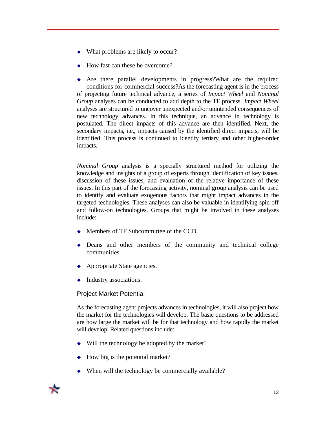- $\bullet$  What problems are likely to occur?
- How fast can these be overcome?

 $\leftrightarrow$  Are there parallel developments in progress?What are the required conditions for commercial success?As the forecasting agent is in the process of projecting future technical advance, a series of *Impact Wheel* and *Nominal Group* analyses can be conducted to add depth to the TF process. *Impact Wheel* analyses are structured to uncover unexpected and/or unintended consequences of new technology advances. In this technique, an advance in technology is postulated. The direct impacts of this advance are then identified. Next, the secondary impacts, i.e., impacts caused by the identified direct impacts, will be identified. This process is continued to identify tertiary and other higher-order impacts.

*Nominal Group* analysis is a specially structured method for utilizing the knowledge and insights of a group of experts through identification of key issues, discussion of these issues, and evaluation of the relative importance of these issues. In this part of the forecasting activity, nominal group analysis can be used to identify and evaluate exogenous factors that might impact advances in the targeted technologies. These analyses can also be valuable in identifying spin-off and follow-on technologies. Groups that might be involved in these analyses include:

- $\bullet$  Members of TF Subcommittee of the CCD.
- $\bullet$  Deans and other members of the community and technical college communities.
- $\leftrightarrow$  Appropriate State agencies.
- $\bullet$  Industry associations.

# Project Market Potential

As the forecasting agent projects advances in technologies, it will also project how the market for the technologies will develop. The basic questions to be addressed are how large the market will be for that technology and how rapidly the market will develop. Related questions include:

- $\bullet$  Will the technology be adopted by the market?
- $\leftrightarrow$  How big is the potential market?
- $\bullet$  When will the technology be commercially available?

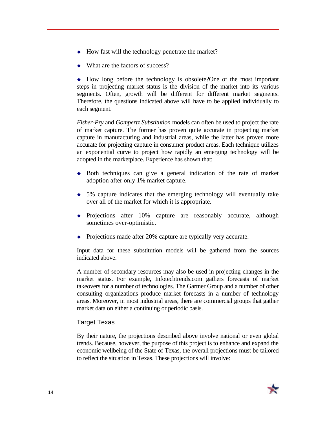- $\leftrightarrow$  How fast will the technology penetrate the market?
- What are the factors of success?

 $\rightarrow$  How long before the technology is obsolete? One of the most important steps in projecting market status is the division of the market into its various segments. Often, growth will be different for different market segments. Therefore, the questions indicated above will have to be applied individually to each segment.

*Fisher-Pry* and *Gompertz Substitution* models can often be used to project the rate of market capture. The former has proven quite accurate in projecting market capture in manufacturing and industrial areas, while the latter has proven more accurate for projecting capture in consumer product areas. Each technique utilizes an exponential curve to project how rapidly an emerging technology will be adopted in the marketplace. Experience has shown that:

- $\bullet$  Both techniques can give a general indication of the rate of market adoption after only 1% market capture.
- $\bullet$  5% capture indicates that the emerging technology will eventually take over all of the market for which it is appropriate.
- Projections after 10% capture are reasonably accurate, although sometimes over-optimistic.
- Projections made after 20% capture are typically very accurate.

Input data for these substitution models will be gathered from the sources indicated above.

A number of secondary resources may also be used in projecting changes in the market status. For example, Infotechtrends.com gathers forecasts of market takeovers for a number of technologies. The Gartner Group and a number of other consulting organizations produce market forecasts in a number of technology areas. Moreover, in most industrial areas, there are commercial groups that gather market data on either a continuing or periodic basis.

# Target Texas

By their nature, the projections described above involve national or even global trends. Because, however, the purpose of this project is to enhance and expand the economic wellbeing of the State of Texas, the overall projections must be tailored to reflect the situation in Texas. These projections will involve: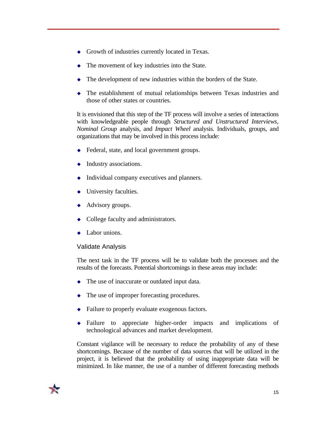- $\bullet$  Growth of industries currently located in Texas.
- The movement of key industries into the State.
- $\bullet$  The development of new industries within the borders of the State.
- $\bullet$  The establishment of mutual relationships between Texas industries and those of other states or countries.

It is envisioned that this step of the TF process will involve a series of interactions with knowledgeable people through *Structured and Unstructured Interviews*, *Nominal Group* analysis, and *Impact Wheel* analysis. Individuals, groups, and organizations that may be involved in this process include:

- $\triangle$  Federal, state, and local government groups.
- $\leftrightarrow$  Industry associations.
- Individual company executives and planners.
- $\bullet$  University faculties.
- $\leftrightarrow$  Advisory groups.
- $\bullet$  College faculty and administrators.
- Labor unions.

#### Validate Analysis

The next task in the TF process will be to validate both the processes and the results of the forecasts. Potential shortcomings in these areas may include:

- $\bullet$  The use of inaccurate or outdated input data.
- $\bullet$  The use of improper forecasting procedures.
- $\triangle$  Failure to properly evaluate exogenous factors.
- <sup>u</sup> Failure to appreciate higher-order impacts and implications of technological advances and market development.

Constant vigilance will be necessary to reduce the probability of any of these shortcomings. Because of the number of data sources that will be utilized in the project, it is believed that the probability of using inappropriate data will be minimized. In like manner, the use of a number of different forecasting methods

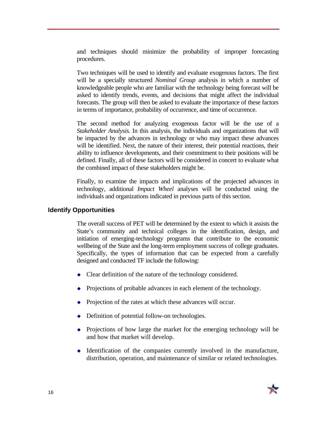and techniques should minimize the probability of improper forecasting procedures.

Two techniques will be used to identify and evaluate exogenous factors. The first will be a specially structured *Nominal Group* analysis in which a number of knowledgeable people who are familiar with the technology being forecast will be asked to identify trends, events, and decisions that might affect the individual forecasts. The group will then be asked to evaluate the importance of these factors in terms of importance, probability of occurrence, and time of occurrence.

The second method for analyzing exogenous factor will be the use of a *Stakeholder Analysis*. In this analysis, the individuals and organizations that will be impacted by the advances in technology or who may impact these advances will be identified. Next, the nature of their interest, their potential reactions, their ability to influence developments, and their commitment to their positions will be defined. Finally, all of these factors will be considered in concert to evaluate what the combined impact of these stakeholders might be.

Finally, to examine the impacts and implications of the projected advances in technology, additional *Impact Wheel* analyses will be conducted using the individuals and organizations indicated in previous parts of this section.

#### **Identify Opportunities**

The overall success of PET will be determined by the extent to which it assists the State's community and technical colleges in the identification, design, and initiation of emerging-technology programs that contribute to the economic wellbeing of the State and the long-term employment success of college graduates. Specifically, the types of information that can be expected from a carefully designed and conducted TF include the following:

- $\triangle$  Clear definition of the nature of the technology considered.
- $\rightarrow$  Projections of probable advances in each element of the technology.
- Projection of the rates at which these advances will occur.
- $\rightarrow$  Definition of potential follow-on technologies.
- $\bullet$  Projections of how large the market for the emerging technology will be and how that market will develop.
- $\bullet$  Identification of the companies currently involved in the manufacture, distribution, operation, and maintenance of similar or related technologies.

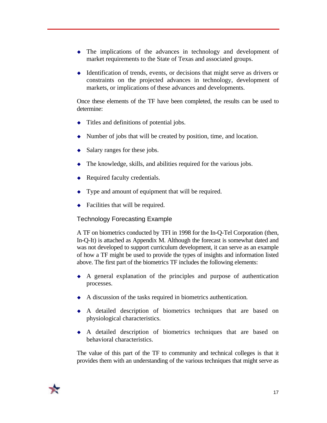- $\bullet$  The implications of the advances in technology and development of market requirements to the State of Texas and associated groups.
- $\triangleleft$  Identification of trends, events, or decisions that might serve as drivers or constraints on the projected advances in technology, development of markets, or implications of these advances and developments.

Once these elements of the TF have been completed, the results can be used to determine:

- $\bullet$  Titles and definitions of potential jobs.
- $\blacklozenge$  Number of jobs that will be created by position, time, and location.
- $\triangleleft$  Salary ranges for these jobs.
- $\bullet$  The knowledge, skills, and abilities required for the various jobs.
- Required faculty credentials.
- $\bullet$  Type and amount of equipment that will be required.
- $\bullet$  Facilities that will be required.

# Technology Forecasting Example

A TF on biometrics conducted by TFI in 1998 for the In-Q-Tel Corporation (then, In-Q-It) is attached as Appendix M. Although the forecast is somewhat dated and was not developed to support curriculum development, it can serve as an example of how a TF might be used to provide the types of insights and information listed above. The first part of the biometrics TF includes the following elements:

- $\bullet$  A general explanation of the principles and purpose of authentication processes.
- $\leftrightarrow$  A discussion of the tasks required in biometrics authentication.
- <sup>u</sup> A detailed description of biometrics techniques that are based on physiological characteristics.
- $\bullet$  A detailed description of biometrics techniques that are based on behavioral characteristics.

The value of this part of the TF to community and technical colleges is that it provides them with an understanding of the various techniques that might serve as

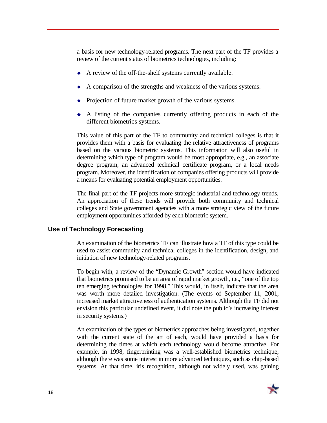a basis for new technology-related programs. The next part of the TF provides a review of the current status of biometrics technologies, including:

- $\blacklozenge$  A review of the off-the-shelf systems currently available.
- $\leftrightarrow$  A comparison of the strengths and weakness of the various systems.
- Projection of future market growth of the various systems.
- $\leftrightarrow$  A listing of the companies currently offering products in each of the different biometrics systems.

This value of this part of the TF to community and technical colleges is that it provides them with a basis for evaluating the relative attractiveness of programs based on the various biometric systems. This information will also useful in determining which type of program would be most appropriate, e.g., an associate degree program, an advanced technical certificate program, or a local needs program. Moreover, the identification of companies offering products will provide a means for evaluating potential employment opportunities.

The final part of the TF projects more strategic industrial and technology trends. An appreciation of these trends will provide both community and technical colleges and State government agencies with a more strategic view of the future employment opportunities afforded by each biometric system.

#### **Use of Technology Forecasting**

An examination of the biometrics TF can illustrate how a TF of this type could be used to assist community and technical colleges in the identification, design, and initiation of new technology-related programs.

To begin with, a review of the "Dynamic Growth" section would have indicated that biometrics promised to be an area of rapid market growth, i.e., "one of the top ten emerging technologies for 1998." This would, in itself, indicate that the area was worth more detailed investigation. (The events of September 11, 2001, increased market attractiveness of authentication systems. Although the TF did not envision this particular undefined event, it did note the public's increasing interest in security systems.)

An examination of the types of biometrics approaches being investigated, together with the current state of the art of each, would have provided a basis for determining the times at which each technology would become attractive. For example, in 1998, fingerprinting was a well-established biometrics technique, although there was some interest in more advanced techniques, such as chip-based systems. At that time, iris recognition, although not widely used, was gaining

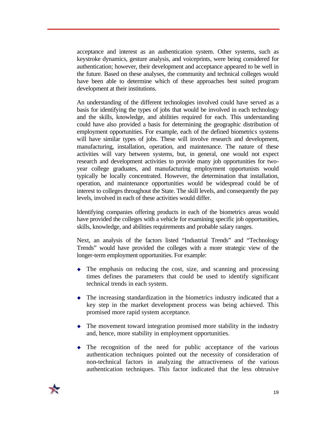acceptance and interest as an authentication system. Other systems, such as keystroke dynamics, gesture analysis, and voiceprints, were being considered for authentication; however, their development and acceptance appeared to be well in the future. Based on these analyses, the community and technical colleges would have been able to determine which of these approaches best suited program development at their institutions.

An understanding of the different technologies involved could have served as a basis for identifying the types of jobs that would be involved in each technology and the skills, knowledge, and abilities required for each. This understanding could have also provided a basis for determining the geographic distribution of employment opportunities. For example, each of the defined biometrics systems will have similar types of jobs. These will involve research and development, manufacturing, installation, operation, and maintenance. The nature of these activities will vary between systems, but, in general, one would not expect research and development activities to provide many job opportunities for twoyear college graduates, and manufacturing employment opportunists would typically be locally concentrated. However, the determination that installation, operation, and maintenance opportunities would be widespread could be of interest to colleges throughout the State. The skill levels, and consequently the pay levels, involved in each of these activities would differ.

Identifying companies offering products in each of the biometrics areas would have provided the colleges with a vehicle for examining specific job opportunities, skills, knowledge, and abilities requirements and probable salary ranges.

Next, an analysis of the factors listed "Industrial Trends" and "Technology Trends" would have provided the colleges with a more strategic view of the longer-term employment opportunities. For example:

- $\bullet$  The emphasis on reducing the cost, size, and scanning and processing times defines the parameters that could be used to identify significant technical trends in each system.
- $\bullet$  The increasing standardization in the biometrics industry indicated that a key step in the market development process was being achieved. This promised more rapid system acceptance.
- $\bullet$  The movement toward integration promised more stability in the industry and, hence, more stability in employment opportunities.
- $\bullet$  The recognition of the need for public acceptance of the various authentication techniques pointed out the necessity of consideration of non-technical factors in analyzing the attractiveness of the various authentication techniques. This factor indicated that the less obtrusive